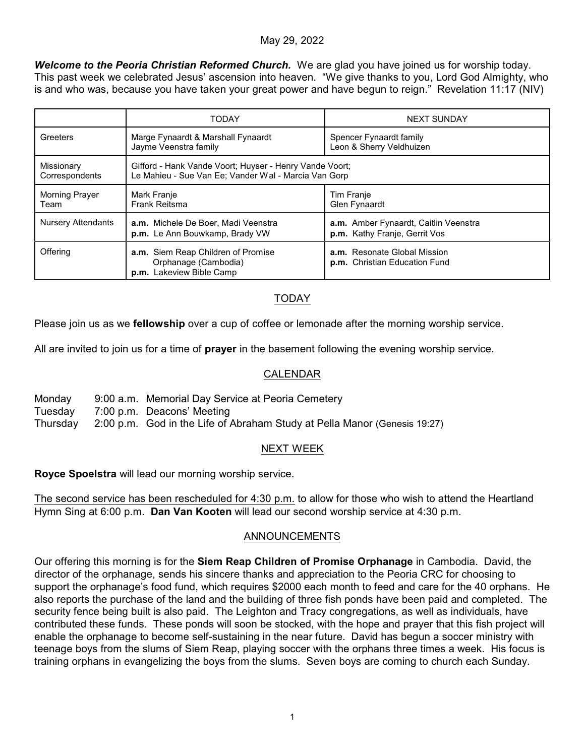## May 29, 2022

*Welcome to the Peoria Christian Reformed Church.* We are glad you have joined us for worship today. This past week we celebrated Jesus' ascension into heaven. "We give thanks to you, Lord God Almighty, who is and who was, because you have taken your great power and have begun to reign." Revelation 11:17 (NIV)

|                               | <b>TODAY</b>                                                                                                    | <b>NEXT SUNDAY</b>                                                     |
|-------------------------------|-----------------------------------------------------------------------------------------------------------------|------------------------------------------------------------------------|
| Greeters                      | Marge Fynaardt & Marshall Fynaardt<br>Jayme Veenstra family                                                     | Spencer Fynaardt family<br>Leon & Sherry Veldhuizen                    |
| Missionary<br>Correspondents  | Gifford - Hank Vande Voort; Huyser - Henry Vande Voort;<br>Le Mahieu - Sue Van Ee; Vander Wal - Marcia Van Gorp |                                                                        |
| <b>Morning Prayer</b><br>Team | Mark Franje<br>Frank Reitsma                                                                                    | Tim Franje<br>Glen Fynaardt                                            |
| <b>Nursery Attendants</b>     | a.m. Michele De Boer, Madi Veenstra<br>p.m. Le Ann Bouwkamp, Brady VW                                           | a.m. Amber Fynaardt, Caitlin Veenstra<br>p.m. Kathy Franje, Gerrit Vos |
| Offering                      | a.m. Siem Reap Children of Promise<br>Orphanage (Cambodia)<br>p.m. Lakeview Bible Camp                          | a.m. Resonate Global Mission<br>p.m. Christian Education Fund          |

# TODAY

Please join us as we **fellowship** over a cup of coffee or lemonade after the morning worship service.

All are invited to join us for a time of **prayer** in the basement following the evening worship service.

## CALENDAR

Monday 9:00 a.m. Memorial Day Service at Peoria Cemetery Tuesday 7:00 p.m. Deacons' Meeting Thursday 2:00 p.m. God in the Life of Abraham Study at Pella Manor (Genesis 19:27)

# NEXT WEEK

**Royce Spoelstra** will lead our morning worship service.

The second service has been rescheduled for 4:30 p.m. to allow for those who wish to attend the Heartland Hymn Sing at 6:00 p.m. **Dan Van Kooten** will lead our second worship service at 4:30 p.m.

## ANNOUNCEMENTS

Our offering this morning is for the **Siem Reap Children of Promise Orphanage** in Cambodia. David, the director of the orphanage, sends his sincere thanks and appreciation to the Peoria CRC for choosing to support the orphanage's food fund, which requires \$2000 each month to feed and care for the 40 orphans. He also reports the purchase of the land and the building of three fish ponds have been paid and completed. The security fence being built is also paid. The Leighton and Tracy congregations, as well as individuals, have contributed these funds. These ponds will soon be stocked, with the hope and prayer that this fish project will enable the orphanage to become self-sustaining in the near future. David has begun a soccer ministry with teenage boys from the slums of Siem Reap, playing soccer with the orphans three times a week. His focus is training orphans in evangelizing the boys from the slums. Seven boys are coming to church each Sunday.